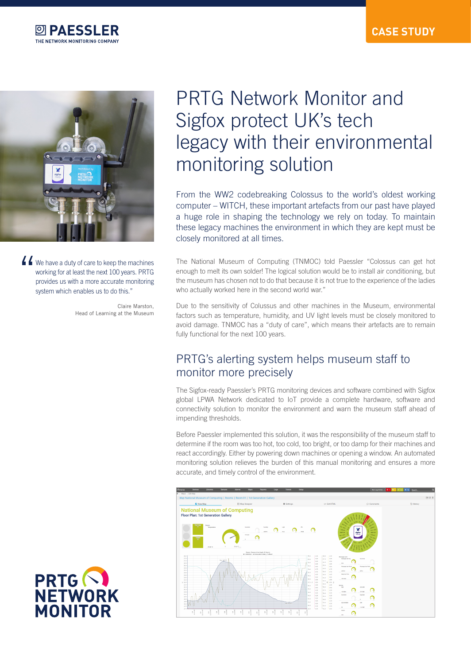



K We have a duty of care to keep the machines working for at least the next 100 years. PRTG provides us with a more accurate monitoring system which enables us to do this."

> Claire Marston, Head of Learning at the Museum

# PRTG Network Monitor and Sigfox protect UK's tech legacy with their environmental monitoring solution

From the WW2 codebreaking Colossus to the world's oldest working computer – WITCH, these important artefacts from our past have played a huge role in shaping the technology we rely on today. To maintain these legacy machines the environment in which they are kept must be closely monitored at all times.

The National Museum of Computing (TNMOC) told Paessler "Colossus can get hot enough to melt its own solder! The logical solution would be to install air conditioning, but the museum has chosen not to do that because it is not true to the experience of the ladies who actually worked here in the second world war."

Due to the sensitivity of Colussus and other machines in the Museum, environmental factors such as temperature, humidity, and UV light levels must be closely monitored to avoid damage. TNMOC has a "duty of care", which means their artefacts are to remain fully functional for the next 100 years.

## PRTG's alerting system helps museum staff to monitor more precisely

The Sigfox-ready Paessler's PRTG monitoring devices and software combined with Sigfox global LPWA Network dedicated to IoT provide a complete hardware, software and connectivity solution to monitor the environment and warn the museum staff ahead of impending thresholds.

Before Paessler implemented this solution, it was the responsibility of the museum staff to determine if the room was too hot, too cold, too bright, or too damp for their machines and react accordingly. Either by powering down machines or opening a window. An automated monitoring solution relieves the burden of this manual monitoring and ensures a more accurate, and timely control of the environment.